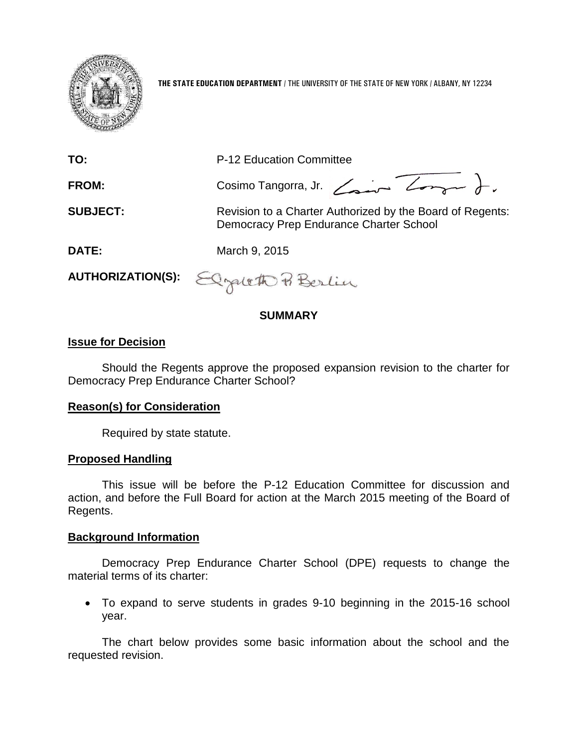

**THE STATE EDUCATION DEPARTMENT** / THE UNIVERSITY OF THE STATE OF NEW YORK / ALBANY, NY 12234

| TO:             | P-12 Education Committee                                                                             |  |  |  |  |  |
|-----------------|------------------------------------------------------------------------------------------------------|--|--|--|--|--|
| FROM:           | Cosimo Tangorra, Jr. Comme Longue                                                                    |  |  |  |  |  |
| <b>SUBJECT:</b> | Revision to a Charter Authorized by the Board of Regents:<br>Democracy Prep Endurance Charter School |  |  |  |  |  |
| <b>DATE:</b>    | March 9, 2015                                                                                        |  |  |  |  |  |
|                 | AUTHORIZATION(S): Elgaleth Pi Berlin                                                                 |  |  |  |  |  |

### **SUMMARY**

### **Issue for Decision**

Should the Regents approve the proposed expansion revision to the charter for Democracy Prep Endurance Charter School?

### **Reason(s) for Consideration**

Required by state statute.

### **Proposed Handling**

This issue will be before the P-12 Education Committee for discussion and action, and before the Full Board for action at the March 2015 meeting of the Board of Regents.

#### **Background Information**

Democracy Prep Endurance Charter School (DPE) requests to change the material terms of its charter:

 To expand to serve students in grades 9-10 beginning in the 2015-16 school year.

The chart below provides some basic information about the school and the requested revision.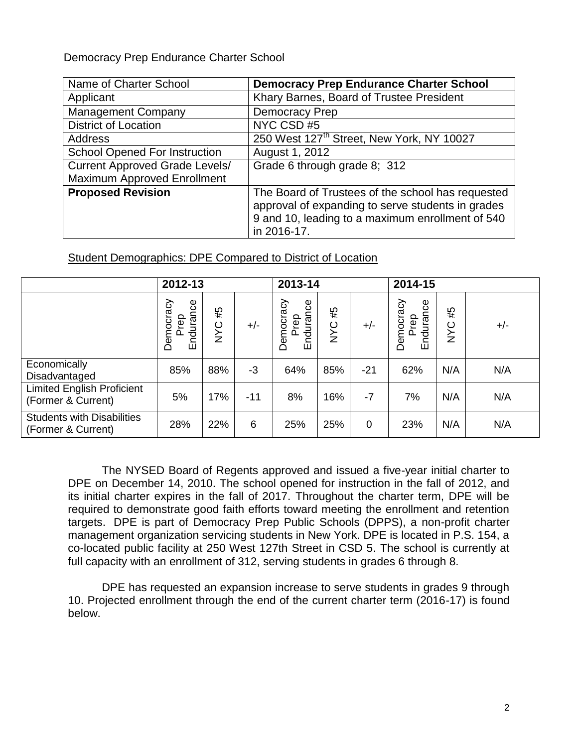# Democracy Prep Endurance Charter School

| Name of Charter School                | <b>Democracy Prep Endurance Charter School</b>                                                                                                                            |
|---------------------------------------|---------------------------------------------------------------------------------------------------------------------------------------------------------------------------|
| Applicant                             | Khary Barnes, Board of Trustee President                                                                                                                                  |
| <b>Management Company</b>             | <b>Democracy Prep</b>                                                                                                                                                     |
| <b>District of Location</b>           | NYC CSD#5                                                                                                                                                                 |
| <b>Address</b>                        | 250 West 127 <sup>th</sup> Street, New York, NY 10027                                                                                                                     |
| <b>School Opened For Instruction</b>  | August 1, 2012                                                                                                                                                            |
| <b>Current Approved Grade Levels/</b> | Grade 6 through grade 8; 312                                                                                                                                              |
| <b>Maximum Approved Enrollment</b>    |                                                                                                                                                                           |
| <b>Proposed Revision</b>              | The Board of Trustees of the school has requested<br>approval of expanding to serve students in grades<br>9 and 10, leading to a maximum enrollment of 540<br>in 2016-17. |

# Student Demographics: DPE Compared to District of Location

|                                                         | 2012-13                        |                  |       | 2013-14                       |                                 |             | 2014-15                        |                  |       |
|---------------------------------------------------------|--------------------------------|------------------|-------|-------------------------------|---------------------------------|-------------|--------------------------------|------------------|-------|
|                                                         | Endurance<br>Democracy<br>Prep | #5<br><b>SAN</b> | $+/-$ | Democracy<br>Endurance<br>rep | #5<br>$\circ$<br>$\bar{\Sigma}$ | $+/-$       | Endurance<br>Democracy<br>Prep | #5<br><b>NYC</b> | $+/-$ |
| Economically<br>Disadvantaged                           | 85%                            | 88%              | $-3$  | 64%                           | 85%                             | -21         | 62%                            | N/A              | N/A   |
| <b>Limited English Proficient</b><br>(Former & Current) | 5%                             | 17%              | $-11$ | 8%                            | 16%                             | -7          | 7%                             | N/A              | N/A   |
| <b>Students with Disabilities</b><br>(Former & Current) | 28%                            | 22%              | 6     | 25%                           | 25%                             | $\mathbf 0$ | 23%                            | N/A              | N/A   |

The NYSED Board of Regents approved and issued a five-year initial charter to DPE on December 14, 2010. The school opened for instruction in the fall of 2012, and its initial charter expires in the fall of 2017. Throughout the charter term, DPE will be required to demonstrate good faith efforts toward meeting the enrollment and retention targets. DPE is part of Democracy Prep Public Schools (DPPS), a non-profit charter management organization servicing students in New York. DPE is located in P.S. 154, a co-located public facility at 250 West 127th Street in CSD 5. The school is currently at full capacity with an enrollment of 312, serving students in grades 6 through 8.

DPE has requested an expansion increase to serve students in grades 9 through 10. Projected enrollment through the end of the current charter term (2016-17) is found below.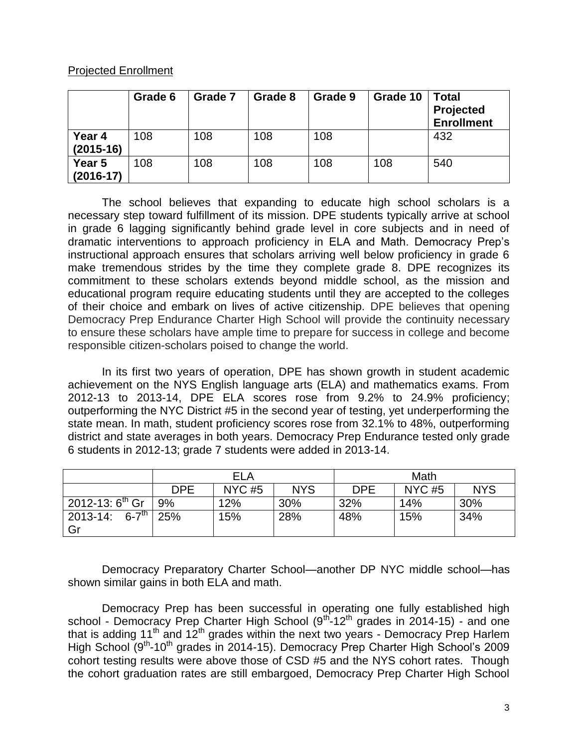### Projected Enrollment

|                       | Grade 6 | Grade 7 | Grade 8 | Grade 9 | Grade 10 | <b>Total</b><br>Projected<br><b>Enrollment</b> |
|-----------------------|---------|---------|---------|---------|----------|------------------------------------------------|
| Year 4<br>$(2015-16)$ | 108     | 108     | 108     | 108     |          | 432                                            |
| Year 5<br>$(2016-17)$ | 108     | 108     | 108     | 108     | 108      | 540                                            |

The school believes that expanding to educate high school scholars is a necessary step toward fulfillment of its mission. DPE students typically arrive at school in grade 6 lagging significantly behind grade level in core subjects and in need of dramatic interventions to approach proficiency in ELA and Math. Democracy Prep's instructional approach ensures that scholars arriving well below proficiency in grade 6 make tremendous strides by the time they complete grade 8. DPE recognizes its commitment to these scholars extends beyond middle school, as the mission and educational program require educating students until they are accepted to the colleges of their choice and embark on lives of active citizenship. DPE believes that opening Democracy Prep Endurance Charter High School will provide the continuity necessary to ensure these scholars have ample time to prepare for success in college and become responsible citizen-scholars poised to change the world.

In its first two years of operation, DPE has shown growth in student academic achievement on the NYS English language arts (ELA) and mathematics exams. From 2012-13 to 2013-14, DPE ELA scores rose from 9.2% to 24.9% proficiency; outperforming the NYC District #5 in the second year of testing, yet underperforming the state mean. In math, student proficiency scores rose from 32.1% to 48%, outperforming district and state averages in both years. Democracy Prep Endurance tested only grade 6 students in 2012-13; grade 7 students were added in 2013-14.

|                                       |            | ELA      |            | Math       |              |            |  |
|---------------------------------------|------------|----------|------------|------------|--------------|------------|--|
|                                       | <b>DPE</b> | $NYC$ #5 | <b>NYS</b> | <b>DPE</b> | <b>NYC#5</b> | <b>NYS</b> |  |
| $2012 - 13:6^{\text{th}}$ Gr          | 9%         | 12%      | 30%        | 32%        | 14%          | 30%        |  |
| $6 - 7$ <sup>th</sup> 25%<br>2013-14: |            | 15%      | 28%        | 48%        | 15%          | 34%        |  |
| Gr                                    |            |          |            |            |              |            |  |

Democracy Preparatory Charter School—another DP NYC middle school—has shown similar gains in both ELA and math.

Democracy Prep has been successful in operating one fully established high school - Democracy Prep Charter High School  $(9^{th}$ -12<sup>th</sup> grades in 2014-15) - and one that is adding 11<sup>th</sup> and 12<sup>th</sup> grades within the next two years - Democracy Prep Harlem High School (9<sup>th</sup>-10<sup>th</sup> grades in 2014-15). Democracy Prep Charter High School's 2009 cohort testing results were above those of CSD #5 and the NYS cohort rates. Though the cohort graduation rates are still embargoed, Democracy Prep Charter High School